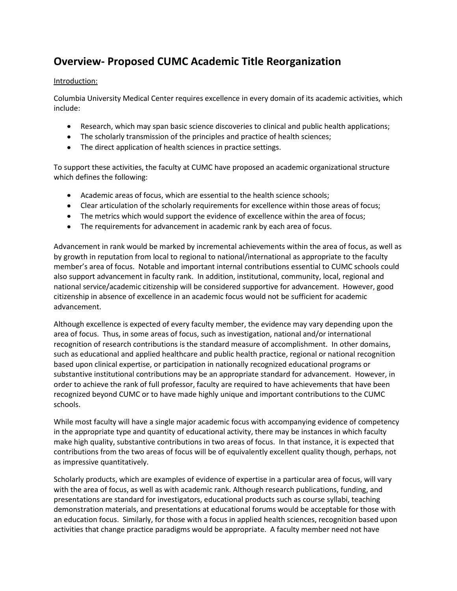## **Overview- Proposed CUMC Academic Title Reorganization**

## Introduction:

Columbia University Medical Center requires excellence in every domain of its academic activities, which include:

- Research, which may span basic science discoveries to clinical and public health applications;
- The scholarly transmission of the principles and practice of health sciences;
- The direct application of health sciences in practice settings.

To support these activities, the faculty at CUMC have proposed an academic organizational structure which defines the following:

- Academic areas of focus, which are essential to the health science schools;
- Clear articulation of the scholarly requirements for excellence within those areas of focus;
- The metrics which would support the evidence of excellence within the area of focus;
- $\bullet$ The requirements for advancement in academic rank by each area of focus.

Advancement in rank would be marked by incremental achievements within the area of focus, as well as by growth in reputation from local to regional to national/international as appropriate to the faculty member's area of focus. Notable and important internal contributions essential to CUMC schools could also support advancement in faculty rank. In addition, institutional, community, local, regional and national service/academic citizenship will be considered supportive for advancement. However, good citizenship in absence of excellence in an academic focus would not be sufficient for academic advancement.

Although excellence is expected of every faculty member, the evidence may vary depending upon the area of focus. Thus, in some areas of focus, such as investigation, national and/or international recognition of research contributions is the standard measure of accomplishment. In other domains, such as educational and applied healthcare and public health practice, regional or national recognition based upon clinical expertise, or participation in nationally recognized educational programs or substantive institutional contributions may be an appropriate standard for advancement. However, in order to achieve the rank of full professor, faculty are required to have achievements that have been recognized beyond CUMC or to have made highly unique and important contributions to the CUMC schools.

While most faculty will have a single major academic focus with accompanying evidence of competency in the appropriate type and quantity of educational activity, there may be instances in which faculty make high quality, substantive contributions in two areas of focus. In that instance, it is expected that contributions from the two areas of focus will be of equivalently excellent quality though, perhaps, not as impressive quantitatively.

Scholarly products, which are examples of evidence of expertise in a particular area of focus, will vary with the area of focus, as well as with academic rank. Although research publications, funding, and presentations are standard for investigators, educational products such as course syllabi, teaching demonstration materials, and presentations at educational forums would be acceptable for those with an education focus. Similarly, for those with a focus in applied health sciences, recognition based upon activities that change practice paradigms would be appropriate. A faculty member need not have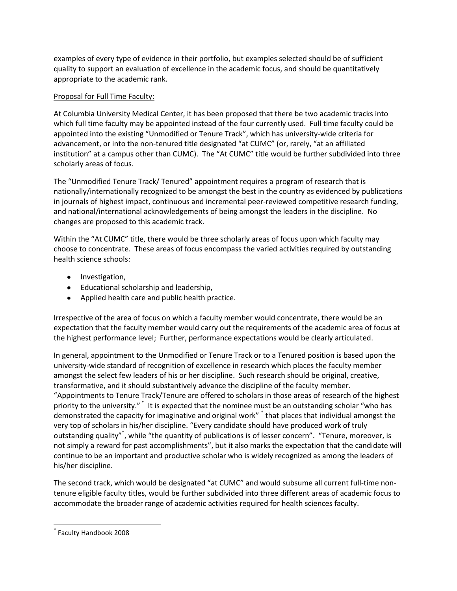examples of every type of evidence in their portfolio, but examples selected should be of sufficient quality to support an evaluation of excellence in the academic focus, and should be quantitatively appropriate to the academic rank.

## Proposal for Full Time Faculty:

At Columbia University Medical Center, it has been proposed that there be two academic tracks into which full time faculty may be appointed instead of the four currently used. Full time faculty could be appointed into the existing "Unmodified or Tenure Track", which has university-wide criteria for advancement, or into the non-tenured title designated "at CUMC" (or, rarely, "at an affiliated institution" at a campus other than CUMC). The "At CUMC" title would be further subdivided into three scholarly areas of focus.

The "Unmodified Tenure Track/ Tenured" appointment requires a program of research that is nationally/internationally recognized to be amongst the best in the country as evidenced by publications in journals of highest impact, continuous and incremental peer-reviewed competitive research funding, and national/international acknowledgements of being amongst the leaders in the discipline. No changes are proposed to this academic track.

Within the "At CUMC" title, there would be three scholarly areas of focus upon which faculty may choose to concentrate. These areas of focus encompass the varied activities required by outstanding health science schools:

- Investigation,
- Educational scholarship and leadership,
- Applied health care and public health practice.

Irrespective of the area of focus on which a faculty member would concentrate, there would be an expectation that the faculty member would carry out the requirements of the academic area of focus at the highest performance level; Further, performance expectations would be clearly articulated.

In general, appointment to the Unmodified or Tenure Track or to a Tenured position is based upon the university-wide standard of recognition of excellence in research which places the faculty member amongst the select few leaders of his or her discipline. Such research should be original, creative, transformative, and it should substantively advance the discipline of the faculty member. "Appointments to Tenure Track/Tenure are offered to scholars in those areas of research of the highest priority to the university."<sup>\*</sup> It is expected that the nominee must be an outstanding scholar "who has demonstrated the capacity for imaginative and original work" \* that places that individual amongst the very top of scholars in his/her discipline. "Every candidate should have produced work of truly outstanding quality"<sup>\*</sup>, while "the quantity of publications is of lesser concern". "Tenure, moreover, is not simply a reward for past accomplishments", but it also marks the expectation that the candidate will continue to be an important and productive scholar who is widely recognized as among the leaders of his/her discipline.

The second track, which would be designated "at CUMC" and would subsume all current full-time nontenure eligible faculty titles, would be further subdivided into three different areas of academic focus to accommodate the broader range of academic activities required for health sciences faculty.

 $\overline{\phantom{a}}$ 

<sup>\*</sup> Faculty Handbook 2008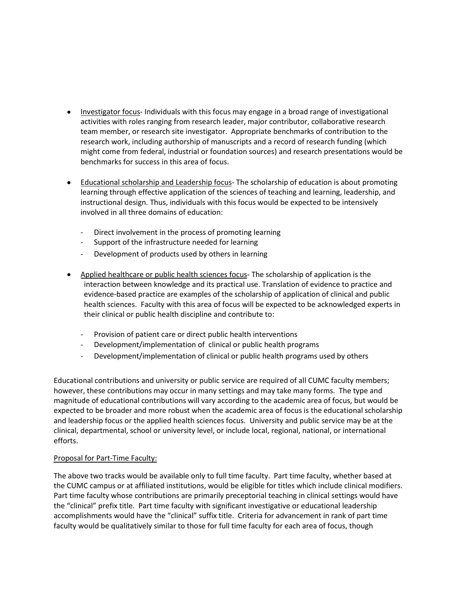- Investigator focus- Individuals with this focus may engage in a broad range of investigational activities with roles ranging from research leader, major contributor, collaborative research team member, or research site investigator. Appropriate benchmarks of contribution to the research work, including authorship of manuscripts and a record of research funding (which might come from federal, industrial or foundation sources) and research presentations would be benchmarks for success in this area of focus.
- Educational scholarship and Leadership focus- The scholarship of education is about promoting learning through effective application of the sciences of teaching and learning, leadership, and instructional design. Thus, individuals with this focus would be expected to be intensively involved in all three domains of education:
	- Direct involvement in the process of promoting learning
	- Support of the infrastructure needed for learning
	- Development of products used by others in learning
- Applied healthcare or public health sciences focus- The scholarship of application is the interaction between knowledge and its practical use. Translation of evidence to practice and evidence-based practice are examples of the scholarship of application of clinical and public health sciences. Faculty with this area of focus will be expected to be acknowledged experts in their clinical or public health discipline and contribute to:
	- Provision of patient care or direct public health interventions
	- Development/implementation of clinical or public health programs
	- Development/implementation of clinical or public health programs used by others

Educational contributions and university or public service are required of all CUMC faculty members; however, these contributions may occur in many settings and may take many forms. The type and magnitude of educational contributions will vary according to the academic area of focus, but would be expected to be broader and more robust when the academic area of focus is the educational scholarship and leadership focus or the applied health sciences focus. University and public service may be at the clinical, departmental, school or university level, or include local, regional, national, or international efforts.

## Proposal for Part-Time Faculty:

The above two tracks would be available only to full time faculty. Part time faculty, whether based at the CUMC campus or at affiliated institutions, would be eligible for titles which include clinical modifiers. Part time faculty whose contributions are primarily preceptorial teaching in clinical settings would have the "clinical" prefix title. Part time faculty with significant investigative or educational leadership accomplishments would have the "clinical" suffix title. Criteria for advancement in rank of part time faculty would be qualitatively similar to those for full time faculty for each area of focus, though